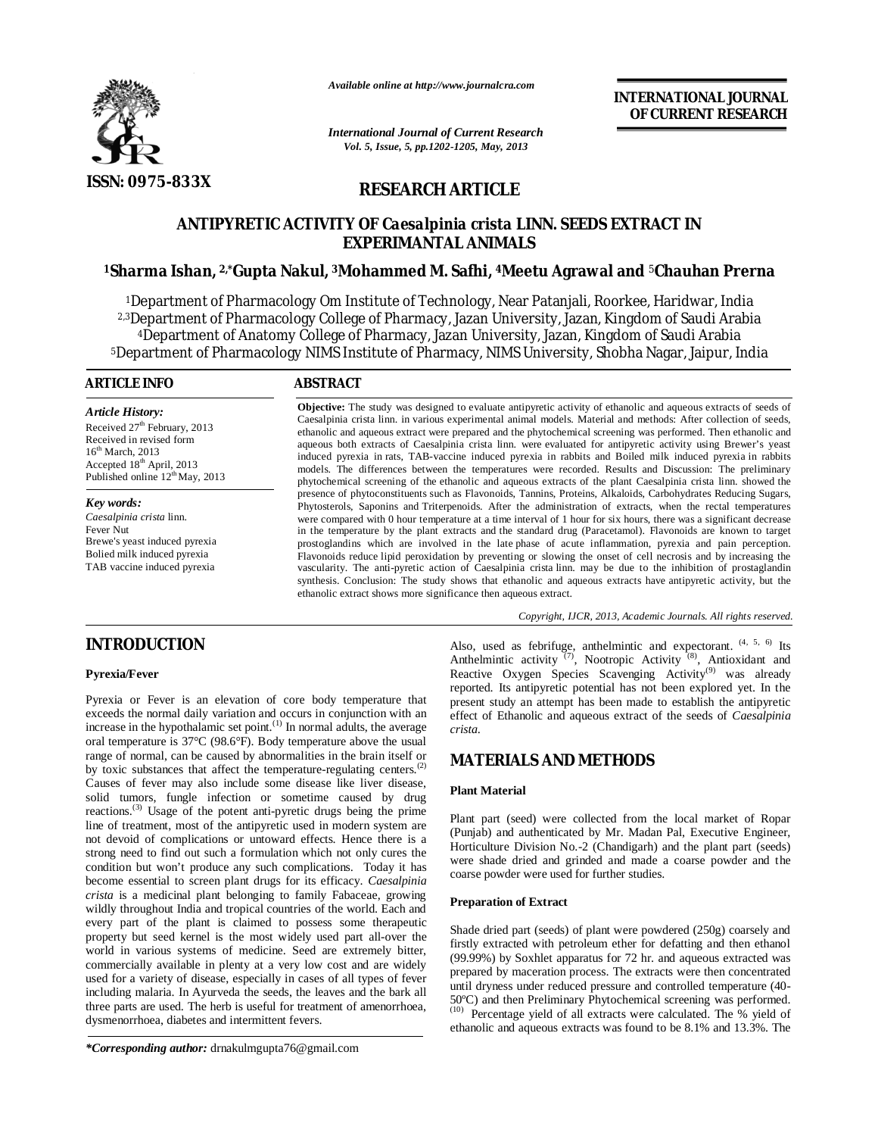

*Available online at http://www.journalcra.com*

*International Journal of Current Research Vol. 5, Issue, 5, pp.1202-1205, May, 2013*

**INTERNATIONAL JOURNAL OF CURRENT RESEARCH** 

# **RESEARCH ARTICLE**

# **ANTIPYRETIC ACTIVITY OF** *Caesalpinia crista* **LINN. SEEDS EXTRACT IN EXPERIMANTAL ANIMALS**

## **<sup>1</sup>Sharma Ishan, 2,\*Gupta Nakul, 3Mohammed M. Safhi, 4Meetu Agrawal and** <sup>5</sup>**Chauhan Prerna**

Department of Pharmacology Om Institute of Technology, Near Patanjali, Roorkee, Haridwar, India 2,3Department of Pharmacology College of Pharmacy, Jazan University, Jazan, Kingdom of Saudi Arabia Department of Anatomy College of Pharmacy, Jazan University, Jazan, Kingdom of Saudi Arabia Department of Pharmacology NIMS Institute of Pharmacy, NIMS University, Shobha Nagar, Jaipur, India

#### **ARTICLE INFO ABSTRACT**

*Article History:* Received  $27<sup>th</sup>$  February, 2013 Received in revised form  $16<sup>th</sup> March, 2013$ Accepted 18<sup>th</sup> April, 2013 Published online  $12^{th}$ May, 2013

*Key words: Caesalpinia crista* linn. Fever Nut Brewe's yeast induced pyrexia Bolied milk induced pyrexia TAB vaccine induced pyrexia

**Objective:** The study was designed to evaluate antipyretic activity of ethanolic and aqueous extracts of seeds of Caesalpinia crista linn. in various experimental animal models. Material and methods: After collection of seeds, ethanolic and aqueous extract were prepared and the phytochemical screening was performed. Then ethanolic and aqueous both extracts of Caesalpinia crista linn. were evaluated for antipyretic activity using Brewer's yeast induced pyrexia in rats, TAB-vaccine induced pyrexia in rabbits and Boiled milk induced pyrexia in rabbits models. The differences between the temperatures were recorded. Results and Discussion: The preliminary phytochemical screening of the ethanolic and aqueous extracts of the plant Caesalpinia crista linn. showed the presence of phytoconstituents such as Flavonoids, Tannins, Proteins, Alkaloids, Carbohydrates Reducing Sugars, Phytosterols, Saponins and Triterpenoids. After the administration of extracts, when the rectal temperatures were compared with 0 hour temperature at a time interval of 1 hour for six hours, there was a significant decrease in the temperature by the plant extracts and the standard drug (Paracetamol). Flavonoids are known to target prostoglandins which are involved in the late phase of acute inflammation, pyrexia and pain perception. Flavonoids reduce lipid peroxidation by preventing or slowing the onset of cell necrosis and by increasing the vascularity. The anti-pyretic action of Caesalpinia crista linn. may be due to the inhibition of prostaglandin synthesis. Conclusion: The study shows that ethanolic and aqueous extracts have antipyretic activity, but the ethanolic extract shows more significance then aqueous extract.

*Copyright, IJCR, 2013, Academic Journals. All rights reserved.*

## **INTRODUCTION**

### **Pyrexia/Fever**

Pyrexia or Fever is an elevation of core body temperature that exceeds the normal daily variation and occurs in conjunction with an increase in the hypothalamic set point.<sup>(1)</sup> In normal adults, the average oral temperature is 37°C (98.6°F). Body temperature above the usual range of normal, can be caused by abnormalities in the brain itself or by toxic substances that affect the temperature-regulating centers.<sup>(2)</sup> Causes of fever may also include some disease like liver disease, solid tumors, fungle infection or sometime caused by drug reactions.<sup>(3)</sup> Usage of the potent anti-pyretic drugs being the prime line of treatment, most of the antipyretic used in modern system are not devoid of complications or untoward effects. Hence there is a strong need to find out such a formulation which not only cures the condition but won't produce any such complications. Today it has become essential to screen plant drugs for its efficacy. *Caesalpinia crista* is a medicinal plant belonging to family Fabaceae, growing wildly throughout India and tropical countries of the world. Each and every part of the plant is claimed to possess some therapeutic property but seed kernel is the most widely used part all-over the world in various systems of medicine. Seed are extremely bitter, commercially available in plenty at a very low cost and are widely used for a variety of disease, especially in cases of all types of fever including malaria. In Ayurveda the seeds, the leaves and the bark all three parts are used. The herb is useful for treatment of amenorrhoea, dysmenorrhoea, diabetes and intermittent fevers.

*\*Corresponding author:* drnakulmgupta76@gmail.com

Also, used as febrifuge, anthelmintic and expectorant. <sup>(4, 5, 6)</sup> Its Anthelmintic activity  $(7)$ , Nootropic Activity  $(8)$ , Antioxidant and Reactive Oxygen Species Scavenging Activity<sup>(9)</sup> was already reported. Its antipyretic potential has not been explored yet. In the present study an attempt has been made to establish the antipyretic effect of Ethanolic and aqueous extract of the seeds of *Caesalpinia crista*.

## **MATERIALS AND METHODS**

#### **Plant Material**

Plant part (seed) were collected from the local market of Ropar (Punjab) and authenticated by Mr. Madan Pal, Executive Engineer, Horticulture Division No.-2 (Chandigarh) and the plant part (seeds) were shade dried and grinded and made a coarse powder and the coarse powder were used for further studies.

#### **Preparation of Extract**

Shade dried part (seeds) of plant were powdered (250g) coarsely and firstly extracted with petroleum ether for defatting and then ethanol (99.99%) by Soxhlet apparatus for 72 hr. and aqueous extracted was prepared by maceration process. The extracts were then concentrated until dryness under reduced pressure and controlled temperature (40- 50ºC) and then Preliminary Phytochemical screening was performed. (10) Percentage yield of all extracts were calculated. The % yield of ethanolic and aqueous extracts was found to be 8.1% and 13.3%. The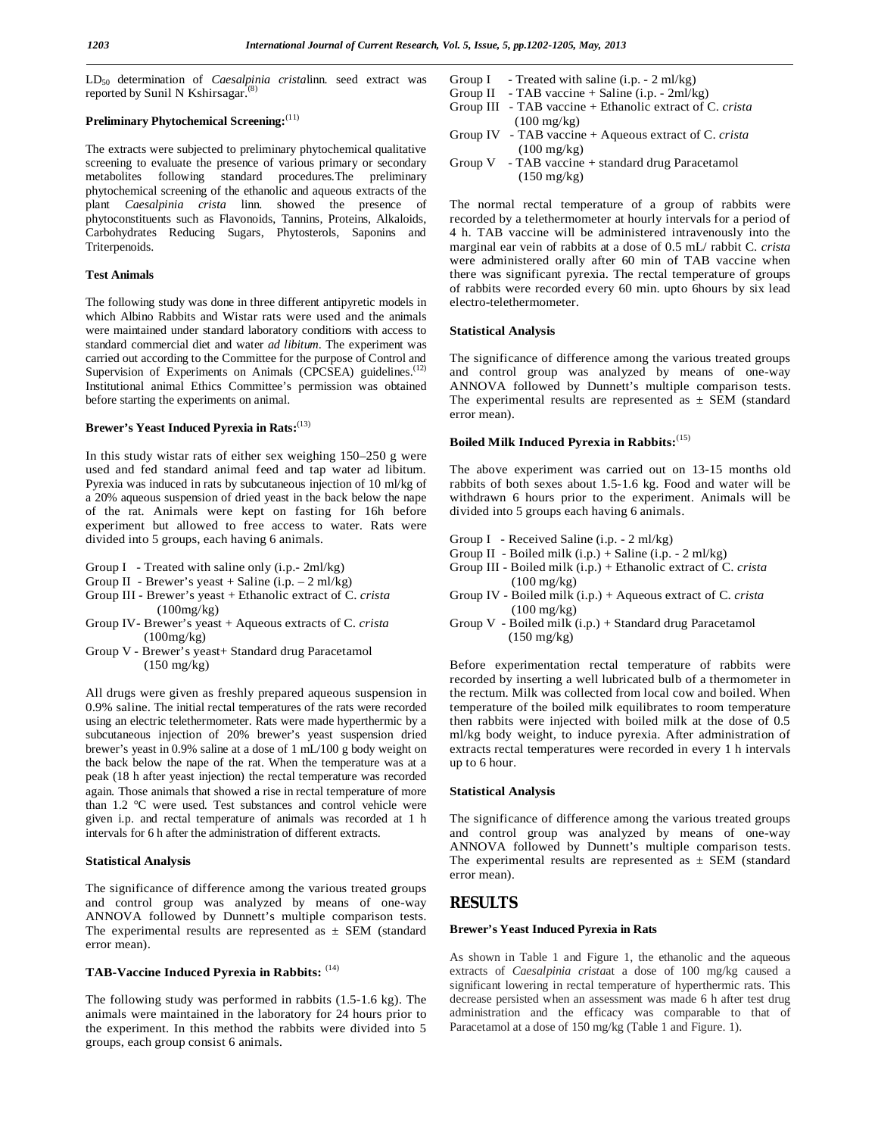LD50 determination of *Caesalpinia crista*linn. seed extract was reported by Sunil N Kshirsagar.<sup>(8)</sup>

## **Preliminary Phytochemical Screening:**(11)

The extracts were subjected to preliminary phytochemical qualitative screening to evaluate the presence of various primary or secondary metabolites following standard procedures.The preliminary phytochemical screening of the ethanolic and aqueous extracts of the plant *Caesalpinia crista* linn. showed the presence of phytoconstituents such as Flavonoids, Tannins, Proteins, Alkaloids, Carbohydrates Reducing Sugars, Phytosterols, Saponins and Triterpenoids.

#### **Test Animals**

The following study was done in three different antipyretic models in which Albino Rabbits and Wistar rats were used and the animals were maintained under standard laboratory conditions with access to standard commercial diet and water *ad libitum*. The experiment was carried out according to the Committee for the purpose of Control and Supervision of Experiments on Animals (CPCSEA) guidelines.<sup>(12)</sup> Institutional animal Ethics Committee's permission was obtained before starting the experiments on animal.

## **Brewer's Yeast Induced Pyrexia in Rats:**(13)

In this study wistar rats of either sex weighing 150–250 g were used and fed standard animal feed and tap water ad libitum. Pyrexia was induced in rats by subcutaneous injection of 10 ml/kg of a 20% aqueous suspension of dried yeast in the back below the nape of the rat. Animals were kept on fasting for 16h before experiment but allowed to free access to water. Rats were divided into 5 groups, each having 6 animals.

- Group I Treated with saline only (i.p.- 2ml/kg)
- Group II Brewer's yeast  $+$  Saline (i.p.  $-2$  ml/kg)
- Group III Brewer's yeast + Ethanolic extract of C. *crista* (100mg/kg)
- Group IV- Brewer's yeast + Aqueous extracts of C. *crista* (100mg/kg)
- Group V Brewer's yeast+ Standard drug Paracetamol (150 mg/kg)

All drugs were given as freshly prepared aqueous suspension in 0.9% saline. The initial rectal temperatures of the rats were recorded using an electric telethermometer. Rats were made hyperthermic by a subcutaneous injection of 20% brewer's yeast suspension dried brewer's yeast in 0.9% saline at a dose of 1 mL/100 g body weight on the back below the nape of the rat. When the temperature was at a peak (18 h after yeast injection) the rectal temperature was recorded again. Those animals that showed a rise in rectal temperature of more than 1.2 °C were used. Test substances and control vehicle were given i.p. and rectal temperature of animals was recorded at 1 h intervals for 6 h after the administration of different extracts.

#### **Statistical Analysis**

The significance of difference among the various treated groups and control group was analyzed by means of one-way ANNOVA followed by Dunnett's multiple comparison tests. The experimental results are represented as  $\pm$  SEM (standard error mean).

# **TAB-Vaccine Induced Pyrexia in Rabbits:** (14)

The following study was performed in rabbits (1.5-1.6 kg). The animals were maintained in the laboratory for 24 hours prior to the experiment. In this method the rabbits were divided into 5 groups, each group consist 6 animals.

- Group I Treated with saline  $(i.p. 2 ml/kg)$
- Group II TAB vaccine + Saline (i.p.  $2ml/kg$ )
- Group III TAB vaccine + Ethanolic extract of C. *crista*  $(100 \text{ mg/kg})$
- Group IV TAB vaccine + Aqueous extract of C. *crista*  $(100 \text{ mg/kg})$ <br>Group V - TAB vaccine
- TAB vaccine + standard drug Paracetamol (150 mg/kg)

The normal rectal temperature of a group of rabbits were recorded by a telethermometer at hourly intervals for a period of 4 h. TAB vaccine will be administered intravenously into the marginal ear vein of rabbits at a dose of 0.5 mL/ rabbit C. *crista* were administered orally after 60 min of TAB vaccine when there was significant pyrexia. The rectal temperature of groups of rabbits were recorded every 60 min. upto 6hours by six lead electro-telethermometer.

#### **Statistical Analysis**

The significance of difference among the various treated groups and control group was analyzed by means of one-way ANNOVA followed by Dunnett's multiple comparison tests. The experimental results are represented as  $\pm$  SEM (standard error mean).

#### **Boiled Milk Induced Pyrexia in Rabbits:**(15)

The above experiment was carried out on 13-15 months old rabbits of both sexes about 1.5-1.6 kg. Food and water will be withdrawn 6 hours prior to the experiment. Animals will be divided into 5 groups each having 6 animals.

- Group I Received Saline (i.p. 2 ml/kg)
- Group II Boiled milk (i.p.) + Saline (i.p. 2 ml/kg)
- Group III Boiled milk (i.p.) + Ethanolic extract of C. *crista* (100 mg/kg)
- Group IV Boiled milk (i.p.) + Aqueous extract of C. *crista* (100 mg/kg)
- Group V Boiled milk (i.p.) + Standard drug Paracetamol (150 mg/kg)

Before experimentation rectal temperature of rabbits were recorded by inserting a well lubricated bulb of a thermometer in the rectum. Milk was collected from local cow and boiled. When temperature of the boiled milk equilibrates to room temperature then rabbits were injected with boiled milk at the dose of 0.5 ml/kg body weight, to induce pyrexia. After administration of extracts rectal temperatures were recorded in every 1 h intervals up to 6 hour.

#### **Statistical Analysis**

The significance of difference among the various treated groups and control group was analyzed by means of one-way ANNOVA followed by Dunnett's multiple comparison tests. The experimental results are represented as  $\pm$  SEM (standard error mean).

## **RESULTS**

#### **Brewer's Yeast Induced Pyrexia in Rats**

As shown in Table 1 and Figure 1, the ethanolic and the aqueous extracts of *Caesalpinia crista*at a dose of 100 mg/kg caused a significant lowering in rectal temperature of hyperthermic rats. This decrease persisted when an assessment was made 6 h after test drug administration and the efficacy was comparable to that of Paracetamol at a dose of 150 mg/kg (Table 1 and Figure. 1).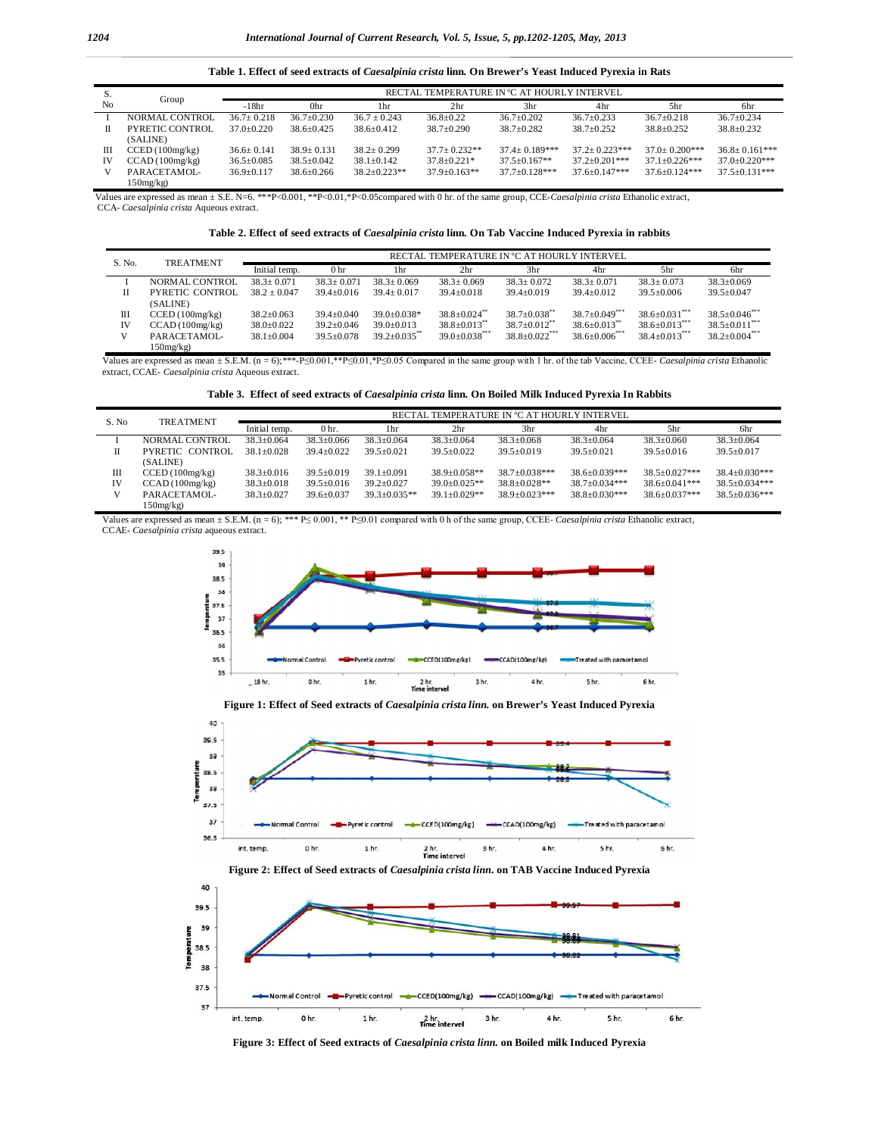**Table 1. Effect of seed extracts of** *Caesalpinia crista* **linn. On Brewer's Yeast Induced Pyrexia in Rats**

| S. |                        | RECTAL TEMPERATURE IN °C AT HOURLY INTERVEL |                  |                  |                   |                    |                      |                      |                    |  |
|----|------------------------|---------------------------------------------|------------------|------------------|-------------------|--------------------|----------------------|----------------------|--------------------|--|
| No | Group                  | $-18hr$                                     | 0hr              | 1hr              | 2 <sub>hr</sub>   | 3hr                | 4hr                  | 5hr                  | 6hr                |  |
|    | NORMAL CONTROL         | $36.7 \pm 0.218$                            | $36.7 \pm 0.230$ | $36.7 \pm 0.243$ | $36.8 \pm 0.22$   | $36.7 \pm 0.202$   | $36.7 \pm 0.233$     | $36.7 \pm 0.218$     | $36.7 \pm 0.234$   |  |
| П  | <b>PYRETIC CONTROL</b> | $37.0 + 0.220$                              | $38.6 + 0.425$   | $38.6 + 0.412$   | $38.7 + 0.290$    | $38.7 + 0.282$     | $38.7 \pm 0.252$     | $38.8 \pm 0.252$     | $38.8 + 0.232$     |  |
|    | (SALINE)               |                                             |                  |                  |                   |                    |                      |                      |                    |  |
| Ш  | CCED(100mg/kg)         | $36.6 \pm 0.141$                            | $38.9 + 0.131$   | $38.2 + 0.299$   | $37.7 + 0.232**$  | $37.4 + 0.189$ *** | $37.2 + 0.223***$    | $37.0 + 0.200$ ***   | $36.8 + 0.161$ *** |  |
| IV | CCAD(100mg/kg)         | $36.5 \pm 0.085$                            | $38.5 \pm 0.042$ | $38.1 \pm 0.142$ | $37.8 \pm 0.221*$ | $37.5 + 0.167**$   | $37.2 \pm 0.201$ *** | $37.1 \pm 0.226$ *** | $37.0 + 0.220$ *** |  |
| V  | PARACETAMOL-           | $36.9 \pm 0.117$                            | $38.6 + 0.266$   | $38.2 + 0.223**$ | $37.9 + 0.163**$  | $37.7 + 0.128$ *** | $37.6 + 0.147$ ***   | $37.6 + 0.124$ ***   | $37.5 + 0.131***$  |  |
|    | 150mg/kg               |                                             |                  |                  |                   |                    |                      |                      |                    |  |

 Values are expressed as mean ± S.E. N=6. \*\*\*P<0.001, \*\*P<0.01,\*P<0.05compared with 0 hr. of the same group, CCE-*Caesalpinia crista* Ethanolic extract, CCA- *Caesalpinia crista* Aqueous extract.

| Table 2. Effect of seed extracts of <i>Caesalpinia crista</i> linn. On Tab Vaccine Induced Pyrexia in rabbits |  |  |
|---------------------------------------------------------------------------------------------------------------|--|--|
|                                                                                                               |  |  |

| S. No. | <b>TREATMENT</b> | RECTAL TEMPERATURE IN °C AT HOURLY INTERVEL |                  |                  |                                |                                |                                |                                 |                      |
|--------|------------------|---------------------------------------------|------------------|------------------|--------------------------------|--------------------------------|--------------------------------|---------------------------------|----------------------|
|        |                  | Initial temp.                               | 0 <sub>hr</sub>  | 1 hr             | 2 <sub>hr</sub>                | 3hr                            | 4hr                            | 5hr                             | 6hr                  |
|        | NORMAL CONTROL   | $38.3 + 0.071$                              | $38.3 + 0.071$   | $38.3 + 0.069$   | $38.3 \pm 0.069$               | $38.3 + 0.072$                 | $38.3 + 0.071$                 | $38.3 \pm 0.073$                | $38.3 \pm 0.069$     |
| Н      | PYRETIC CONTROL  | $38.2 + 0.047$                              | $39.4 + 0.016$   | $39.4 + 0.017$   | $39.4 \pm 0.018$               | $39.4 + 0.019$                 | $39.4 \pm 0.012$               | $39.5 \pm 0.006$                | $39.5 + 0.047$       |
|        | (SALINE)         |                                             |                  |                  |                                |                                |                                |                                 |                      |
| Ш      | CCED(100mg/kg)   | $38.2 \pm 0.063$                            | $39.4 \pm 0.040$ | $39.0 + 0.038*$  | $38.8 + 0.024$ <sup>**</sup>   | $38.7 + 0.038$ <sup>*</sup>    | $38.7+0.049$ ***               | $38.6 \pm 0.031$ <sup>***</sup> | $38.5 \pm 0.046$ *** |
| IV     | CCAD(100mg/kg)   | $38.0 \pm 0.022$                            | $39.2 \pm 0.046$ | $39.0 \pm 0.013$ | $38.8 \pm 0.013$ <sup>**</sup> | $38.7 \pm 0.012$ <sup>**</sup> | $38.6 \pm 0.013$ <sup>**</sup> | $38.6 \pm 0.013$ <sup>***</sup> | $38.5 \pm 0.011$ *** |
| V      | PARACETAMOL-     | $38.1 + 0.004$                              | $39.5 + 0.078$   | $39.2 + 0.035$   | $39.0 + 0.038$ ***             | $38.8 + 0.022$ <sup>***</sup>  | $38.6 + 0.006$ <sup>***</sup>  | $38.4 \pm 0.013$ <sup>***</sup> | $38.2 + 0.004***$    |
|        | 150mg/kg         |                                             |                  |                  |                                |                                |                                |                                 |                      |

 Values are expressed as mean ± S.E.M. (n = 6);\*\*\*-P≤0.001,\*\*P≤0.01,\*P≤0.05 Compared in the same group with 1 hr. of the tab Vaccine, CCEE- *Caesalpinia crista* Ethanolic extract, CCAE- *Caesalpinia crista* Aqueous extract.

| Table 3. Effect of seed extracts of <i>Caesalpinia crista</i> linn. On Boiled Milk Induced Pyrexia In Rabbits |  |
|---------------------------------------------------------------------------------------------------------------|--|
|---------------------------------------------------------------------------------------------------------------|--|

| S. No | <b>TREATMENT</b> | RECTAL TEMPERATURE IN °C AT HOURLY INTERVEL |                  |                  |                    |                     |                     |                      |                     |
|-------|------------------|---------------------------------------------|------------------|------------------|--------------------|---------------------|---------------------|----------------------|---------------------|
|       |                  | Initial temp.                               | $0hr$ .          | 1hr              | 2 <sub>hr</sub>    | 3hr                 | 4hr                 | 5hr                  | 6hr                 |
|       | NORMAL CONTROL   | $38.3 + 0.064$                              | $38.3 + 0.066$   | $38.3 \pm 0.064$ | $38.3 \pm 0.064$   | $38.3 \pm 0.068$    | $38.3 \pm 0.064$    | $38.3 \pm 0.060$     | $38.3 \pm 0.064$    |
| п     | PYRETIC CONTROL  | $38.1 + 0.028$                              | $39.4 + 0.022$   | $39.5 + 0.021$   | $39.5 \pm 0.022$   | $39.5 \pm 0.019$    | $39.5 \pm 0.021$    | $39.5 \pm 0.016$     | $39.5 \pm 0.017$    |
|       | (SALINE)         |                                             |                  |                  |                    |                     |                     |                      |                     |
| Ш     | CCED(100mg/kg)   | $38.3 \pm 0.016$                            | $39.5 + 0.019$   | $39.1 + 0.091$   | $38.9 + 0.058**$   | $38.7 + 0.038***$   | $38.6 + 0.039***$   | $38.5 + 0.027$ ***   | $38.4 + 0.030***$   |
| IV    | CCAD(100mg/kg)   | $38.3 \pm 0.018$                            | $39.5 \pm 0.016$ | $39.2 \pm 0.027$ | $39.0 \pm 0.025**$ | $38.8 \pm 0.028**$  | $38.7 \pm 0.034***$ | $38.6 \pm 0.041$ *** | $38.5 \pm 0.034***$ |
|       | PARACETAMOL-     | $38.3 \pm 0.027$                            | $39.6 + 0.037$   | $39.3 + 0.035**$ | $39.1 + 0.029**$   | $38.9 \pm 0.023***$ | $38.8 + 0.030***$   | $38.6 + 0.037***$    | $38.5 + 0.036***$   |
|       | 150mg/kg         |                                             |                  |                  |                    |                     |                     |                      |                     |

 Values are expressed as mean ± S.E.M. (n = 6); \*\*\* P≤ 0.001, \*\* P≤0.01 compared with 0 h of the same group, CCEE- *Caesalpinia crista* Ethanolic extract, CCAE- *Caesalpinia crista* aqueous extract.









**Figure 3: Effect of Seed extracts of** *Caesalpinia crista linn.* **on Boiled milk Induced Pyrexia**